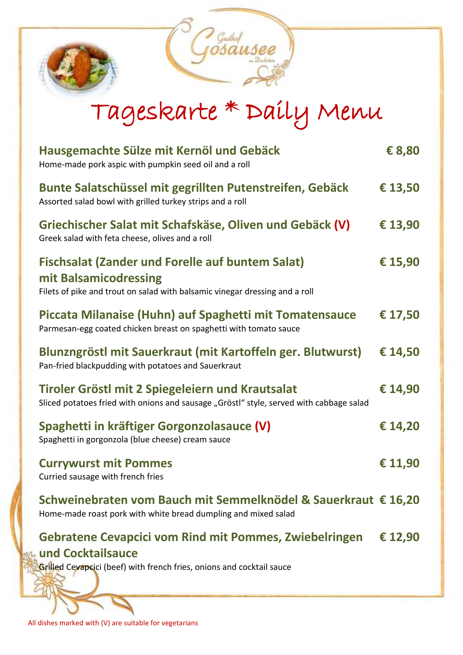

# Tageskarte \* Daily Menu

| Hausgemachte Sülze mit Kernöl und Gebäck<br>Home-made pork aspic with pumpkin seed oil and a roll                                                               | € 8,80  |
|-----------------------------------------------------------------------------------------------------------------------------------------------------------------|---------|
| Bunte Salatschüssel mit gegrillten Putenstreifen, Gebäck<br>Assorted salad bowl with grilled turkey strips and a roll                                           | € 13,50 |
| Griechischer Salat mit Schafskäse, Oliven und Gebäck (V)<br>Greek salad with feta cheese, olives and a roll                                                     | € 13,90 |
| <b>Fischsalat (Zander und Forelle auf buntem Salat)</b><br>mit Balsamicodressing<br>Filets of pike and trout on salad with balsamic vinegar dressing and a roll | € 15,90 |
| Piccata Milanaise (Huhn) auf Spaghetti mit Tomatensauce<br>Parmesan-egg coated chicken breast on spaghetti with tomato sauce                                    | € 17,50 |
| Blunzngröstl mit Sauerkraut (mit Kartoffeln ger. Blutwurst)<br>Pan-fried blackpudding with potatoes and Sauerkraut                                              | € 14,50 |
| Tiroler Gröstl mit 2 Spiegeleiern und Krautsalat<br>Sliced potatoes fried with onions and sausage "Gröstl" style, served with cabbage salad                     | € 14,90 |
| Spaghetti in kräftiger Gorgonzolasauce (V)<br>Spaghetti in gorgonzola (blue cheese) cream sauce                                                                 | € 14,20 |
| <b>Currywurst mit Pommes</b><br>Curried sausage with french fries                                                                                               | € 11,90 |
| Schweinebraten vom Bauch mit Semmelknödel & Sauerkraut € 16,20<br>Home-made roast pork with white bread dumpling and mixed salad                                |         |
| <b>Gebratene Cevapcici vom Rind mit Pommes, Zwiebelringen</b><br>und Cocktailsauce                                                                              | € 12,90 |
| Grilled Cevapcici (beef) with french fries, onions and cocktail sauce                                                                                           |         |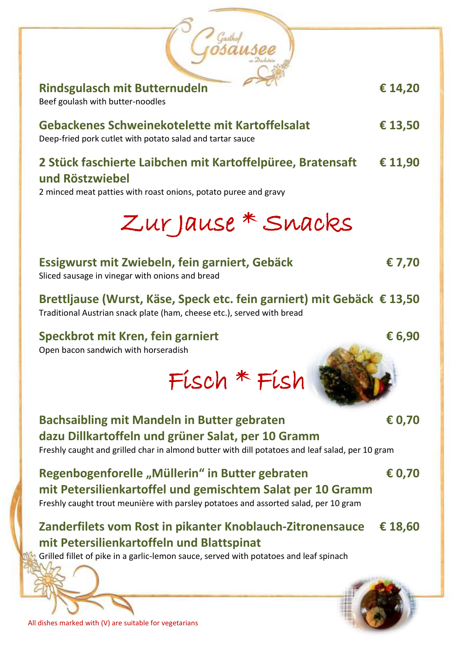| <b>Rindsgulasch mit Butternudeln</b><br>Beef goulash with butter-noodles                                                                                                                                    | € 14,20 |
|-------------------------------------------------------------------------------------------------------------------------------------------------------------------------------------------------------------|---------|
| Gebackenes Schweinekotelette mit Kartoffelsalat<br>Deep-fried pork cutlet with potato salad and tartar sauce                                                                                                | € 13,50 |
| 2 Stück faschierte Laibchen mit Kartoffelpüree, Bratensaft<br>und Röstzwiebel<br>2 minced meat patties with roast onions, potato puree and gravy                                                            | € 11,90 |
| Zur Jause * Snacks                                                                                                                                                                                          |         |
| Essigwurst mit Zwiebeln, fein garniert, Gebäck<br>Sliced sausage in vinegar with onions and bread                                                                                                           | € 7,70  |
| Brettljause (Wurst, Käse, Speck etc. fein garniert) mit Gebäck € 13,50<br>Traditional Austrian snack plate (ham, cheese etc.), served with bread                                                            |         |
| Speckbrot mit Kren, fein garniert<br>Open bacon sandwich with horseradish                                                                                                                                   | € 6,90  |
| Fisch * Fish                                                                                                                                                                                                |         |
| <b>Bachsaibling mit Mandeln in Butter gebraten</b><br>dazu Dillkartoffeln und grüner Salat, per 10 Gramm<br>Freshly caught and grilled char in almond butter with dill potatoes and leaf salad, per 10 gram | € 0,70  |
| Regenbogenforelle "Müllerin" in Butter gebraten<br>mit Petersilienkartoffel und gemischtem Salat per 10 Gramm<br>Freshly caught trout meunière with parsley potatoes and assorted salad, per 10 gram        | € 0,70  |
| Zanderfilets vom Rost in pikanter Knoblauch-Zitronensauce<br>mit Petersilienkartoffeln und Blattspinat<br>Grilled fillet of pike in a garlic-lemon sauce, served with potatoes and leaf spinach             | € 18,60 |
| All dishes marked with (V) are suitable for vegetarians                                                                                                                                                     |         |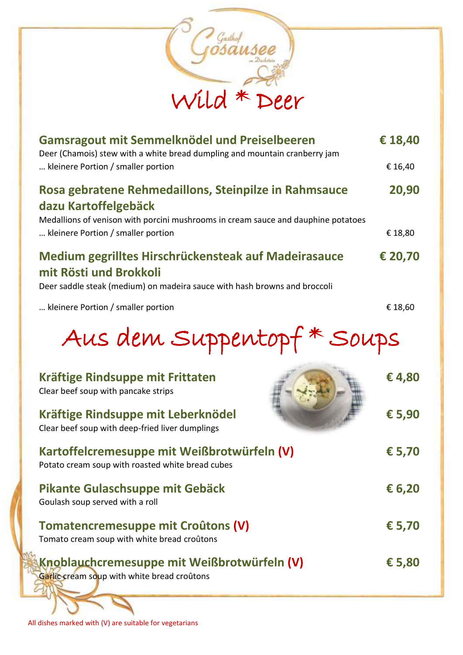

| Gamsragout mit Semmelknödel und Preiselbeeren<br>Deer (Chamois) stew with a white bread dumpling and mountain cranberry jam                                        | € 18,40         |
|--------------------------------------------------------------------------------------------------------------------------------------------------------------------|-----------------|
| kleinere Portion / smaller portion                                                                                                                                 | € 16,40         |
| Rosa gebratene Rehmedaillons, Steinpilze in Rahmsauce<br>dazu Kartoffelgebäck<br>Medallions of venison with porcini mushrooms in cream sauce and dauphine potatoes | 20,90           |
| kleinere Portion / smaller portion                                                                                                                                 | € 18,80         |
| Medium gegrilltes Hirschrückensteak auf Madeirasauce<br>mit Rösti und Brokkoli<br>Deer saddle steak (medium) on madeira sauce with hash browns and broccoli        | € 20,70         |
| kleinere Portion / smaller portion                                                                                                                                 | € 18,60         |
| Aus dem Suppentopf* Soups                                                                                                                                          |                 |
| Kräftige Rindsuppe mit Frittaten<br>Clear beef soup with pancake strips                                                                                            | €4,80           |
| Kräftige Rindsuppe mit Leberknödel<br>Clear beef soup with deep-fried liver dumplings                                                                              | € 5,90          |
| Kartoffelcremesuppe mit Weißbrotwürfeln (V)<br>Potato cream soup with roasted white bread cubes                                                                    | € 5,70          |
| Pikante Gulaschsuppe mit Gebäck<br>Goulash soup served with a roll                                                                                                 | € 6,20          |
| <b>Tomatencremesuppe mit Croûtons (V)</b><br>Tomato cream soup with white bread croûtons                                                                           | € 5,70          |
| Knoblauchcremesuppe mit Weißbrotwürfeln (V)<br>Garlic cream soup with white bread croûtons                                                                         | $\epsilon$ 5,80 |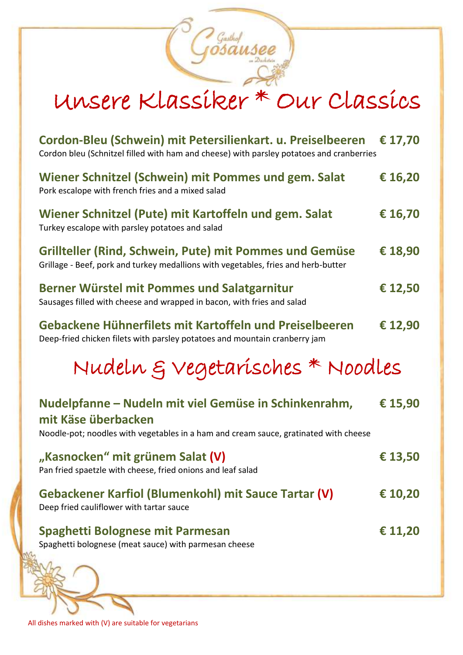# Unsere Klassiker \* Our Classics

Gasthof<br>OSAUSEE

| Cordon-Bleu (Schwein) mit Petersilienkart. u. Preiselbeeren<br>Cordon bleu (Schnitzel filled with ham and cheese) with parsley potatoes and cranberries              | € 17,70 |
|----------------------------------------------------------------------------------------------------------------------------------------------------------------------|---------|
| Wiener Schnitzel (Schwein) mit Pommes und gem. Salat<br>Pork escalope with french fries and a mixed salad                                                            | € 16,20 |
| Wiener Schnitzel (Pute) mit Kartoffeln und gem. Salat<br>Turkey escalope with parsley potatoes and salad                                                             | € 16,70 |
| Grillteller (Rind, Schwein, Pute) mit Pommes und Gemüse<br>Grillage - Beef, pork and turkey medallions with vegetables, fries and herb-butter                        | € 18,90 |
| Berner Würstel mit Pommes und Salatgarnitur<br>Sausages filled with cheese and wrapped in bacon, with fries and salad                                                | € 12,50 |
| Gebackene Hühnerfilets mit Kartoffeln und Preiselbeeren<br>Deep-fried chicken filets with parsley potatoes and mountain cranberry jam                                | € 12,90 |
|                                                                                                                                                                      |         |
| Nudeln & Vegetarisches * Noodles                                                                                                                                     |         |
| Nudelpfanne – Nudeln mit viel Gemüse in Schinkenrahm,<br>mit Käse überbacken<br>Noodle-pot; noodles with vegetables in a ham and cream sauce, gratinated with cheese | € 15,90 |
| "Kasnocken" mit grünem Salat (V)<br>Pan fried spaetzle with cheese, fried onions and leaf salad                                                                      | € 13,50 |
| Gebackener Karfiol (Blumenkohl) mit Sauce Tartar (V)<br>Deep fried cauliflower with tartar sauce                                                                     | € 10,20 |
| Spaghetti Bolognese mit Parmesan<br>Spaghetti bolognese (meat sauce) with parmesan cheese                                                                            | € 11,20 |

All dishes marked with (V) are suitable for vegetarians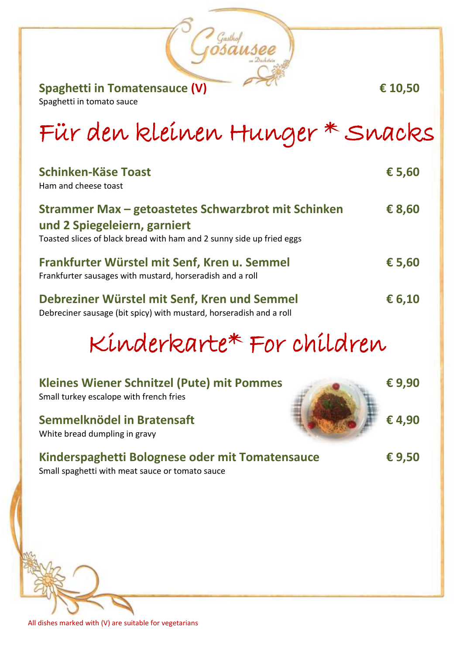**Spaghetti in Tomatensauce (V) € 10,50**

Spaghetti in tomato sauce

# Für den kleinen Hunger \* Snacks

Gasthof<br>VSAUSEE

| <b>Schinken-Käse Toast</b><br>Ham and cheese toast                                                                                                           | € 5,60 |
|--------------------------------------------------------------------------------------------------------------------------------------------------------------|--------|
| Strammer Max - getoastetes Schwarzbrot mit Schinken<br>und 2 Spiegeleiern, garniert<br>Toasted slices of black bread with ham and 2 sunny side up fried eggs | € 8,60 |
| Frankfurter Würstel mit Senf, Kren u. Semmel<br>Frankfurter sausages with mustard, horseradish and a roll                                                    | € 5,60 |
| Debreziner Würstel mit Senf, Kren und Semmel<br>Debreciner sausage (bit spicy) with mustard, horseradish and a roll                                          | € 6,10 |

# Kinderkarte\* For children

| <b>Kleines Wiener Schnitzel (Pute) mit Pommes</b><br>Small turkey escalope with french fries       | €9,90 |
|----------------------------------------------------------------------------------------------------|-------|
| Semmelknödel in Bratensaft<br>White bread dumpling in gravy                                        | €4,90 |
| Kinderspaghetti Bolognese oder mit Tomatensauce<br>Small spaghetti with meat sauce or tomato sauce | €9,50 |
|                                                                                                    |       |

All dishes marked with (V) are suitable for vegetarians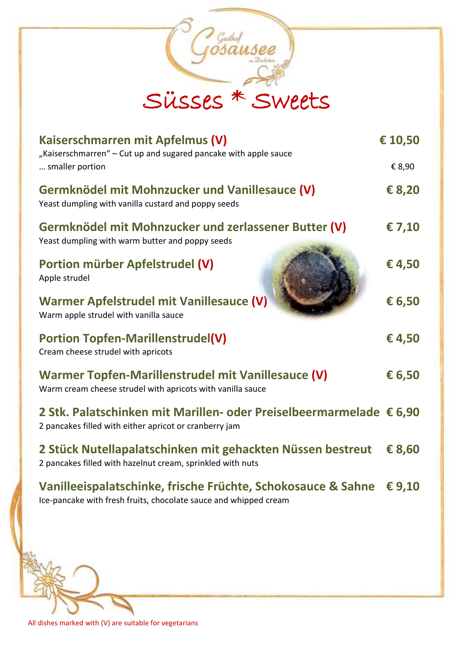| Gasthop<br>Süsses * Sweets                                                                                                       |          |
|----------------------------------------------------------------------------------------------------------------------------------|----------|
| Kaiserschmarren mit Apfelmus (V)                                                                                                 | € 10,50  |
| "Kaiserschmarren" - Cut up and sugared pancake with apple sauce<br>smaller portion                                               | € 8,90   |
| Germknödel mit Mohnzucker und Vanillesauce (V)<br>Yeast dumpling with vanilla custard and poppy seeds                            | € 8,20   |
| Germknödel mit Mohnzucker und zerlassener Butter (V)<br>Yeast dumpling with warm butter and poppy seeds                          | €7,10    |
| Portion mürber Apfelstrudel (V)<br>Apple strudel                                                                                 | €4,50    |
| Warmer Apfelstrudel mit Vanillesauce (V)<br>Warm apple strudel with vanilla sauce                                                | € 6,50   |
| <b>Portion Topfen-Marillenstrudel(V)</b><br>Cream cheese strudel with apricots                                                   | €4,50    |
| Warmer Topfen-Marillenstrudel mit Vanillesauce (V)<br>Warm cream cheese strudel with apricots with vanilla sauce                 | € 6,50   |
| 2 Stk. Palatschinken mit Marillen- oder Preiselbeermarmelade € 6,90<br>2 pancakes filled with either apricot or cranberry jam    |          |
| 2 Stück Nutellapalatschinken mit gehackten Nüssen bestreut<br>2 pancakes filled with hazelnut cream, sprinkled with nuts         | € 8,60   |
| Vanilleeispalatschinke, frische Früchte, Schokosauce & Sahne<br>Ice-pancake with fresh fruits, chocolate sauce and whipped cream | € $9,10$ |

All dishes marked with (V) are suitable for vegetarians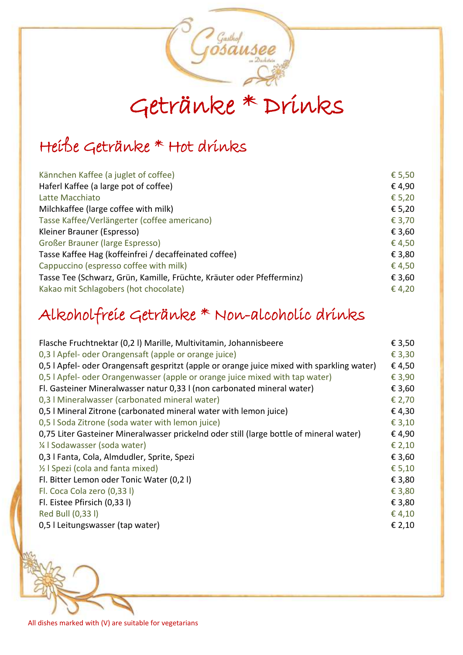

## Heiße Getränke \* Hot drinks

| € 5,50 |
|--------|
| €4,90  |
| € 5,20 |
| € 5,20 |
| € 3,70 |
| € 3,60 |
| €4,50  |
| € 3,80 |
| €4,50  |
| € 3,60 |
| €4,20  |
|        |

#### Alkoholfreie Getränke \* Non-alcoholic drinks

| Flasche Fruchtnektar (0,21) Marille, Multivitamin, Johannisbeere                           | € 3,50 |
|--------------------------------------------------------------------------------------------|--------|
| 0,3   Apfel- oder Orangensaft (apple or orange juice)                                      | € 3,30 |
| 0,5   Apfel- oder Orangensaft gespritzt (apple or orange juice mixed with sparkling water) | €4,50  |
| 0,5   Apfel- oder Orangenwasser (apple or orange juice mixed with tap water)               | € 3,90 |
| Fl. Gasteiner Mineralwasser natur 0,33 l (non carbonated mineral water)                    | € 3,60 |
| 0,3   Mineralwasser (carbonated mineral water)                                             | € 2,70 |
| 0,5   Mineral Zitrone (carbonated mineral water with lemon juice)                          | €4,30  |
| 0,5   Soda Zitrone (soda water with lemon juice)                                           | € 3,10 |
| 0,75 Liter Gasteiner Mineralwasser prickelnd oder still (large bottle of mineral water)    | €4,90  |
| 1/4   Sodawasser (soda water)                                                              | € 2,10 |
| 0,3   Fanta, Cola, Almdudler, Sprite, Spezi                                                | € 3,60 |
| 1/2   Spezi (cola and fanta mixed)                                                         | € 5,10 |
| Fl. Bitter Lemon oder Tonic Water (0,21)                                                   | € 3,80 |
| Fl. Coca Cola zero (0,33 l)                                                                | € 3,80 |
| Fl. Eistee Pfirsich (0,33 l)                                                               | € 3,80 |
| Red Bull (0,33 l)                                                                          | € 4,10 |
| 0,5   Leitungswasser (tap water)                                                           | € 2,10 |